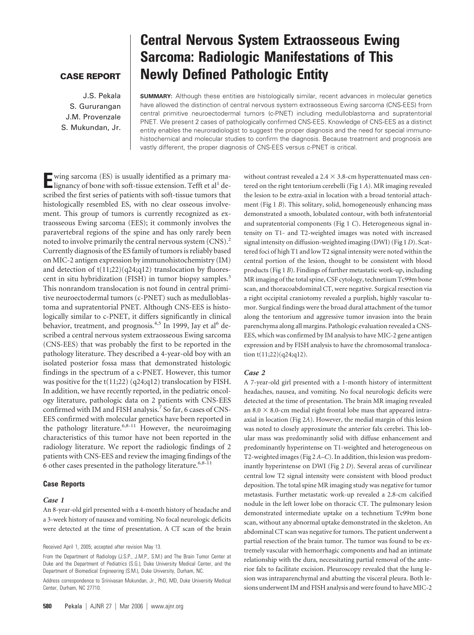# **CASE REPORT**

J.S. Pekala S. Gururangan J.M. Provenzale S. Mukundan, Jr.

# **Central Nervous System Extraosseous Ewing Sarcoma: Radiologic Manifestations of This Newly Defined Pathologic Entity**

**SUMMARY:** Although these entities are histologically similar, recent advances in molecular genetics have allowed the distinction of central nervous system extraosseous Ewing sarcoma (CNS-EES) from central primitive neuroectodermal tumors (c-PNET) including medulloblastoma and supratentorial PNET. We present 2 cases of pathologically confirmed CNS-EES. Knowledge of CNS-EES as a distinct entity enables the neuroradiologist to suggest the proper diagnosis and the need for special immunohistochemical and molecular studies to confirm the diagnosis. Because treatment and prognosis are vastly different, the proper diagnosis of CNS-EES versus c-PNET is critical.

**E**wing sarcoma (ES) is usually identified as a primary ma-<br>lignancy of bone with soft-tissue extension. Tefft et al<sup>1</sup> described the first series of patients with soft-tissue tumors that histologically resembled ES, with no clear osseous involvement. This group of tumors is currently recognized as extraosseous Ewing sarcoma (EES); it commonly involves the paravertebral regions of the spine and has only rarely been noted to involve primarily the central nervous system (CNS).<sup>2</sup> Currently diagnosis of the ES family of tumors is reliably based on MIC-2 antigen expression by immunohistochemistry (IM) and detection of  $t(11;22)(q24;q12)$  translocation by fluorescent in situ hybridization (FISH) in tumor biopsy samples.<sup>3</sup> This nonrandom translocation is not found in central primitive neuroectodermal tumors (c-PNET) such as medulloblastoma and supratentorial PNET. Although CNS-EES is histologically similar to c-PNET, it differs significantly in clinical behavior, treatment, and prognosis.<sup>4,5</sup> In 1999, Jay et al<sup>6</sup> described a central nervous system extraosseous Ewing sarcoma (CNS-EES) that was probably the first to be reported in the pathology literature. They described a 4-year-old boy with an isolated posterior fossa mass that demonstrated histologic findings in the spectrum of a c-PNET. However, this tumor was positive for the t(11;22) (q24;q12) translocation by FISH. In addition, we have recently reported, in the pediatric oncology literature, pathologic data on 2 patients with CNS-EES confirmed with IM and FISH analysis.<sup>7</sup> So far, 6 cases of CNS-EES confirmed with molecular genetics have been reported in the pathology literature.<sup>6,8-11</sup> However, the neuroimaging characteristics of this tumor have not been reported in the radiology literature. We report the radiologic findings of 2 patients with CNS-EES and review the imaging findings of the 6 other cases presented in the pathology literature.<sup>6,8-11</sup>

## **Case Reports**

## *Case 1*

An 8-year-old girl presented with a 4-month history of headache and a 3-week history of nausea and vomiting. No focal neurologic deficits were detected at the time of presentation. A CT scan of the brain

Received April 1, 2005; accepted after revision May 13.

without contrast revealed a  $2.4 \times 3.8$ -cm hyperattenuated mass centered on the right tentorium cerebelli (Fig 1 *A*). MR imaging revealed the lesion to be extra-axial in location with a broad tentorial attachment (Fig 1 *B*). This solitary, solid, homogeneously enhancing mass demonstrated a smooth, lobulated contour, with both infratentorial and supratentorial components (Fig 1 *C*). Heterogeneous signal intensity on T1- and T2-weighted images was noted with increased signal intensity on diffusion-weighted imaging (DWI) (Fig 1 *D*). Scattered foci of high T1 and low T2 signal intensity were noted within the central portion of the lesion, thought to be consistent with blood products (Fig 1 *B*). Findings of further metastatic work-up, including MR imaging of the total spine, CSF cytology, technetium Tc99m bone scan, and thoracoabdominal CT, were negative. Surgical resection via a right occipital craniotomy revealed a purplish, highly vascular tumor. Surgical findings were the broad dural attachment of the tumor along the tentorium and aggressive tumor invasion into the brain parenchyma along all margins. Pathologic evaluation revealed a CNS-EES, which was confirmed by IM analysis to have MIC-2 gene antigen expression and by FISH analysis to have the chromosomal translocation t(11;22)(q24;q12).

#### *Case 2*

A 7-year-old girl presented with a 1-month history of intermittent headaches, nausea, and vomiting. No focal neurologic deficits were detected at the time of presentation. The brain MR imaging revealed an 8.0  $\times$  8.0-cm medial right frontal lobe mass that appeared intraaxial in location (Fig 2*A*). However, the medial margin of this lesion was noted to closely approximate the anterior falx cerebri. This lobular mass was predominantly solid with diffuse enhancement and predominantly hyperintense on T1-weighted and heterogeneous on T2-weighted images (Fig 2 *A*–*C*). In addition, this lesion was predominantly hyperintense on DWI (Fig 2 *D*). Several areas of curvilinear central low T2 signal intensity were consistent with blood product deposition. The total spine MR imaging study was negative for tumor metastasis. Further metastatic work-up revealed a 2.8-cm calcified nodule in the left lower lobe on thoracic CT. The pulmonary lesion demonstrated intermediate uptake on a technetium Tc99m bone scan, without any abnormal uptake demonstrated in the skeleton. An abdominal CT scan was negative for tumors. The patient underwent a partial resection of the brain tumor. The tumor was found to be extremely vascular with hemorrhagic components and had an intimate relationship with the dura, necessitating partial removal of the anterior falx to facilitate excision. Pleuroscopy revealed that the lung lesion was intraparenchymal and abutting the visceral pleura. Both lesions underwent IM and FISH analysis and were found to have MIC-2

From the Department of Radiology (J.S.P., J.M.P., S.M.) and The Brain Tumor Center at Duke and the Department of Pediatrics (S.G.), Duke University Medical Center, and the Department of Biomedical Engineering (S.M.), Duke University, Durham, NC.

Address correspondence to Srinivasan Mukundan, Jr., PhD, MD, Duke University Medical Center, Durham, NC 27710.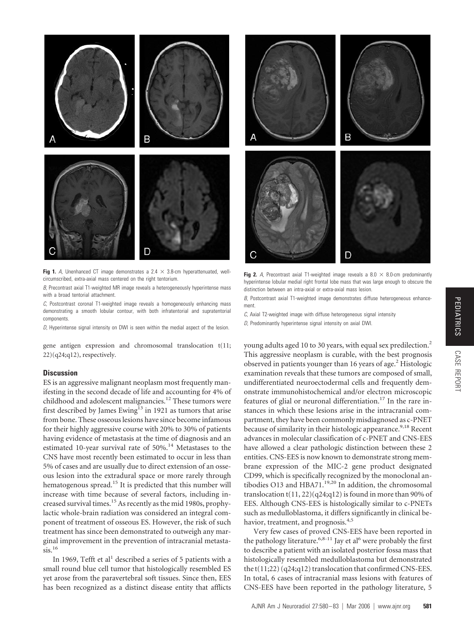

**Fig 1.** A, Unenhanced CT image demonstrates a 2.4  $\times$  3.8-cm hyperattenuated, wellcircumscribed, extra-axial mass centered on the right tentorium.

*B,* Precontrast axial T1-weighted MR image reveals a heterogeneously hyperintense mass with a broad tentorial attachment.

*C,* Postcontrast coronal T1-weighted image reveals a homogeneously enhancing mass demonstrating a smooth lobular contour, with both infratentorial and supratentorial components.

*D,* Hyperintense signal intensity on DWI is seen within the medial aspect of the lesion.

gene antigen expression and chromosomal translocation t(11;  $22$  $(q24;q12)$ , respectively.

## **Discussion**

ES is an aggressive malignant neoplasm most frequently manifesting in the second decade of life and accounting for 4% of childhood and adolescent malignancies.<sup>12</sup> These tumors were first described by James Ewing<sup>13</sup> in 1921 as tumors that arise from bone. These osseous lesions have since become infamous for their highly aggressive course with 20% to 30% of patients having evidence of metastasis at the time of diagnosis and an estimated 10-year survival rate of 50%.<sup>14</sup> Metastases to the CNS have most recently been estimated to occur in less than 5% of cases and are usually due to direct extension of an osseous lesion into the extradural space or more rarely through hematogenous spread.<sup>15</sup> It is predicted that this number will increase with time because of several factors, including increased survival times.15 As recently as the mid 1980s, prophylactic whole-brain radiation was considered an integral component of treatment of osseous ES. However, the risk of such treatment has since been demonstrated to outweigh any marginal improvement in the prevention of intracranial metasta $sis.$ <sup>16</sup>

In 1969, Tefft et al<sup>1</sup> described a series of 5 patients with a small round blue cell tumor that histologically resembled ES yet arose from the paravertebral soft tissues. Since then, EES has been recognized as a distinct disease entity that afflicts



Fig 2. *A*, Precontrast axial T1-weighted image reveals a 8.0  $\times$  8.0-cm predominantly hyperintense lobular medial right frontal lobe mass that was large enough to obscure the distinction between an intra-axial or extra-axial mass lesion.

*B*, Postcontrast axial T1-weighted image demonstrates diffuse heterogeneous enhancement.

*C*, Axial T2-weighted image with diffuse heterogeneous signal intensity

*D,* Predominantly hyperintense signal intensity on axial DWI.

young adults aged 10 to 30 years, with equal sex predilection.<sup>2</sup> This aggressive neoplasm is curable, with the best prognosis observed in patients younger than 16 years of age.2 Histologic examination reveals that these tumors are composed of small, undifferentiated neuroectodermal cells and frequently demonstrate immunohistochemical and/or electron microscopic features of glial or neuronal differentiation.<sup>17</sup> In the rare instances in which these lesions arise in the intracranial compartment, they have been commonly misdiagnosed as c-PNET because of similarity in their histologic appearance.<sup>9,18</sup> Recent advances in molecular classification of c-PNET and CNS-EES have allowed a clear pathologic distinction between these 2 entities. CNS-EES is now known to demonstrate strong membrane expression of the MIC-2 gene product designated CD99, which is specifically recognized by the monoclonal antibodies O13 and HBA71.<sup>19,20</sup> In addition, the chromosomal translocation  $t(11, 22)(q24; q12)$  is found in more than 90% of EES. Although CNS-EES is histologically similar to c-PNETs such as medulloblastoma, it differs significantly in clinical behavior, treatment, and prognosis.<sup>4,5</sup>

Very few cases of proved CNS-EES have been reported in the pathology literature.<sup>6,8-11</sup> Jay et al<sup>6</sup> were probably the first to describe a patient with an isolated posterior fossa mass that histologically resembled medulloblastoma but demonstrated the t(11;22) (q24;q12) translocation that confirmed CNS-EES. In total, 6 cases of intracranial mass lesions with features of CNS-EES have been reported in the pathology literature, 5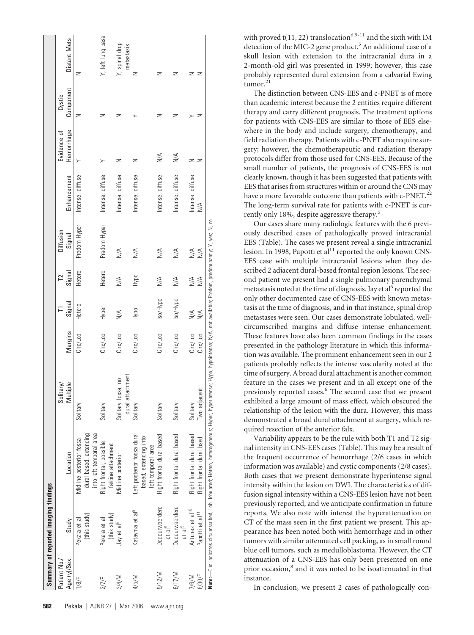|                             | Summary of reported imaging findings                       |                                                                                                                                                                              |                                              |                      |                      |                                       |                      |                            |                           |                     |                              |
|-----------------------------|------------------------------------------------------------|------------------------------------------------------------------------------------------------------------------------------------------------------------------------------|----------------------------------------------|----------------------|----------------------|---------------------------------------|----------------------|----------------------------|---------------------------|---------------------|------------------------------|
| Patient No./<br>Age (y)/Sex | Study                                                      | Location                                                                                                                                                                     | Multiple<br>Solitary/                        | Margins              | Signal               | Signal<br>T <sup>2</sup>              | Diffusion<br>Signal  | Enhancement                | Hemorrhage<br>Evidence of | Component<br>Cystic | Distant Mets                 |
| 1/8/F                       | (this study)<br>Pekala et al                               | dural based, extending<br>into left temporal area<br>Midline posterior fossa                                                                                                 | Solitary                                     | Circ/Lob             | Hetero               | Hetero                                | Predom Hyper         | Intense, diffuse           |                           | Z                   | z                            |
| 2/7/F                       | (this study)<br>Pekala et al                               | Right frontal, possible<br>falcine attachment                                                                                                                                | Solitary                                     | Circ/Lob             | Hyper                | Hetero                                | Predom Hyper         | Intense, diffuse           |                           | z                   | Y, left lung base            |
| 3/4/M                       | Jay et al <sup>6</sup>                                     | Midline posterior                                                                                                                                                            | attachment<br>fossa, no<br>Solitary<br>dural | Circ/Lob             | $\leq$               | $\frac{4}{\sqrt{2}}$                  | $\frac{4}{2}$        | Intense, diffuse           | z                         | z                   | Y, spinal drop<br>metastasis |
| 4/5/M                       | Katayma et al <sup>8</sup>                                 | Left posterior fossa dural<br>based, extending into<br>left temporal area                                                                                                    | Solitary                                     | Circ/Lob             | Hypo                 | <b>BOKH</b>                           | $\frac{4}{2}$        | Intense, diffuse           | z                         | ≻                   | z                            |
| 5/12/M                      | Dedeurwaerdere<br>et al <sup>9</sup>                       | Right frontal dural based                                                                                                                                                    | Solitary                                     | Circ/Lob             | Iso/Hypo             | $\frac{4}{2}$                         | $\frac{4}{2}$        | Intense, diffuse           | $\leqslant$               | z                   | z                            |
| 6/17/M                      | Dedeurwaerdere<br>et al <sup>9</sup>                       | Right frontal dural based                                                                                                                                                    | Solitary                                     | Circ/Lob             | Iso/Hypo             | $\leq$                                | $\frac{4}{2}$        | Intense, diffuse           | $\leqslant$               | z                   | Z                            |
| 8/30/F<br>7/6/M             | Antunes et al <sup>10</sup><br>Papotti et al <sup>11</sup> | Right frontal dural based<br>Right frontal dural bsed                                                                                                                        | Two adjacent<br>Solitary                     | Circ/Lob<br>Circ/Lob | N/A<br>$\frac{4}{2}$ | $\frac{4}{2}$<br>$\frac{4}{\sqrt{2}}$ | $\frac{4}{2}$<br>N/A | Intense, diffuse<br>$\leq$ | Z                         | z                   | z                            |
|                             |                                                            | Note:—Circ indicates circumscribed; Lob, Iobulated; Hetero, heterogeneous; Hyper, hyperintense; Hypo, hypointense; N/A, not available; Predom, predominantly; Y, yes; N, no. |                                              |                      |                      |                                       |                      |                            |                           |                     |                              |

with proved  $t(11, 22)$  translocation<sup>6,9-11</sup> and the sixth with IM detection of the MIC-2 gene product.<sup>5</sup> An additional case of a skull lesion with extension to the intracranial dura in a 2-month-old girl was presented in 1999; however, this case probably represented dural extension from a calvarial Ewing tumor. $21$ 

The distinction between CNS-EES and c-PNET is of more than academic interest because the 2 entities require different therapy and carry different prognosis. The treatment options for patients with CNS-EES are similar to those of EES elsewhere in the body and include surgery, chemotherapy, and field radiation therapy. Patients with c-PNET also require surgery; however, the chemotherapeutic and radiation therapy protocols differ from those used for CNS-EES. Because of the small number of patients, the prognosis of CNS-EES is not clearly known, though it has been suggested that patients with EES that arises from structures within or around the CNS may have a more favorable outcome than patients with c-PNET.<sup>22</sup> The long-term survival rate for patients with c-PNET is currently only 18%, despite aggressive therapy.5

Our cases share many radiologic features with the 6 previously described cases of pathologically proved intracranial EES (Table). The cases we present reveal a single intracranial lesion. In 1998, Papotti et al<sup>11</sup> reported the only known CNS-EES case with multiple intracranial lesions when they described 2 adjacent dural-based frontal region lesions. The second patient we present had a single pulmonary parenchymal metastasis noted at the time of diagnosis. Jay et al<sup>6</sup> reported the only other documented case of CNS-EES with known metastasis at the time of diagnosis, and in that instance, spinal drop metastases were seen. Our cases demonstrate lobulated, wellcircumscribed margins and diffuse intense enhancement. These features have also been common findings in the cases presented in the pathology literature in which this information was available. The prominent enhancement seen in our 2 patients probably reflects the intense vascularity noted at the time of surgery. A broad dural attachment is another common feature in the cases we present and in all except one of the previously reported cases.6 The second case that we present exhibited a large amount of mass effect, which obscured the relationship of the lesion with the dura. However, this mass demonstrated a broad dural attachment at surgery, which required resection of the anterior falx.

Variability appears to be the rule with both T1 and T2 signal intensity in CNS-EES cases (Table). This may be a result of the frequent occurrence of hemorrhage (2/6 cases in which information was available) and cystic components (2/8 cases). Both cases that we present demonstrate hyperintense signal intensity within the lesion on DWI. The characteristics of diffusion signal intensity within a CNS-EES lesion have not been previously reported, and we anticipate confirmation in future reports. We also note with interest the hyperattenuation on CT of the mass seen in the first patient we present. This appearance has been noted both with hemorrhage and in other tumors with similar attenuated cell packing, as in small round blue cell tumors, such as medulloblastoma. However, the CT attenuation of a CNS-EES has only been presented on one prior occasion,<sup>8</sup> and it was noted to be isoattenuated in that instance.

In conclusion, we present 2 cases of pathologically con-